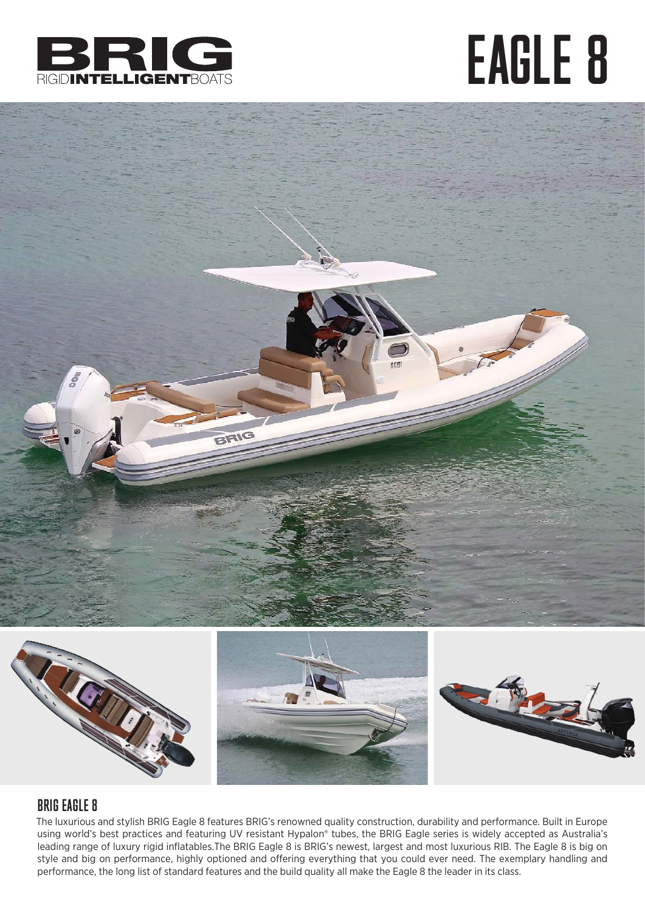

## EAGLE 8



### BRIG EAGLE 8

The luxurious and stylish BRIG Eagle 8 features BRIG's renowned quality construction, durability and performance. Built in Europe using world's best practices and featuring UV resistant Hypalon® tubes, the BRIG Eagle series is widely accepted as Australia's leading range of luxury rigid inflatables.The BRIG Eagle 8 is BRIG's newest, largest and most luxurious RIB. The Eagle 8 is big on style and big on performance, highly optioned and offering everything that you could ever need. The exemplary handling and performance, the long list of standard features and the build quality all make the Eagle 8 the leader in its class.